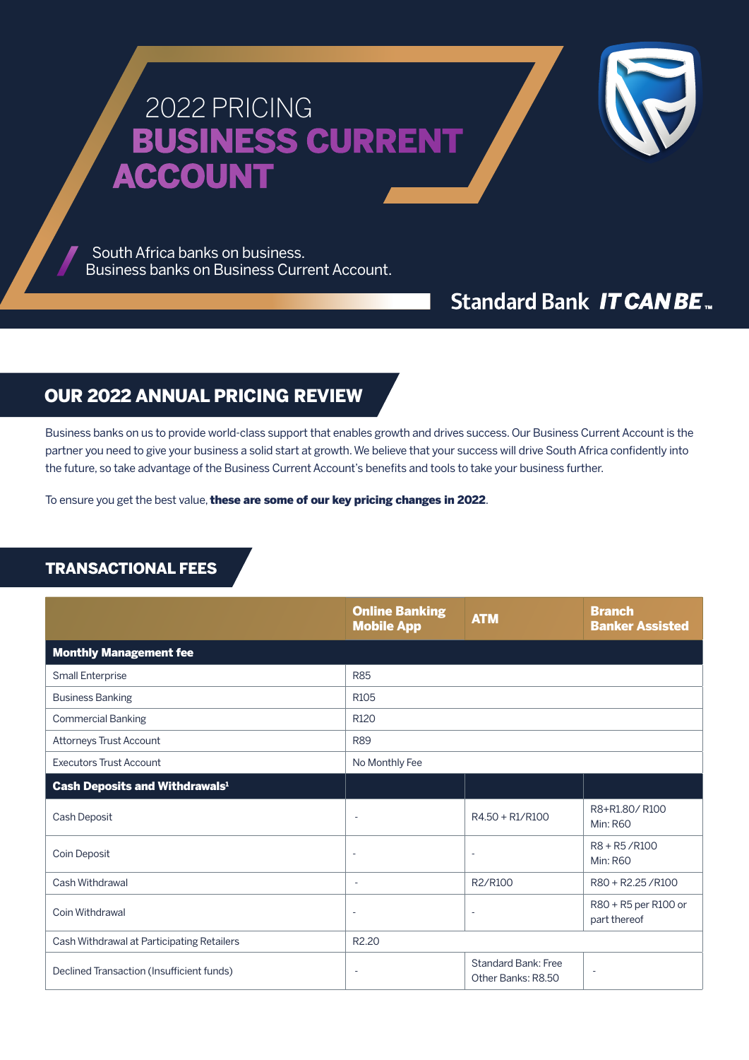# 2022 PRICING BUSINESS CURRENT **ACCOUNT**

 South Africa banks on business. Business banks on Business Current Account.

# **Standard Bank IT CAN BE.**

## OUR 2022 ANNUAL PRICING REVIEW

Business banks on us to provide world-class support that enables growth and drives success. Our Business Current Account is the partner you need to give your business a solid start at growth. We believe that your success will drive South Africa confidently into the future, so take advantage of the Business Current Account's benefits and tools to take your business further.

To ensure you get the best value, these are some of our key pricing changes in 2022.

### TRANSACTIONAL FEES

|                                            | <b>Online Banking</b><br><b>Mobile App</b> | <b>ATM</b>                                       | <b>Branch</b><br><b>Banker Assisted</b> |
|--------------------------------------------|--------------------------------------------|--------------------------------------------------|-----------------------------------------|
| <b>Monthly Management fee</b>              |                                            |                                                  |                                         |
| Small Enterprise                           | <b>R85</b>                                 |                                                  |                                         |
| <b>Business Banking</b>                    | R <sub>105</sub>                           |                                                  |                                         |
| <b>Commercial Banking</b>                  | R120                                       |                                                  |                                         |
| Attorneys Trust Account                    | <b>R89</b>                                 |                                                  |                                         |
| <b>Executors Trust Account</b>             | No Monthly Fee                             |                                                  |                                         |
| Cash Deposits and Withdrawals <sup>1</sup> |                                            |                                                  |                                         |
| Cash Deposit                               | $\sim$                                     | R4.50 + R1/R100                                  | R8+R1.80/R100<br><b>Min: R60</b>        |
| Coin Deposit                               | $\overline{a}$                             | $\overline{\phantom{a}}$                         | R8 + R5/R100<br><b>Min: R60</b>         |
| Cash Withdrawal                            | $\sim$                                     | R2/R100                                          | R80 + R2.25 / R100                      |
| Coin Withdrawal                            | $\overline{\phantom{a}}$                   | ÷                                                | R80 + R5 per R100 or<br>part thereof    |
| Cash Withdrawal at Participating Retailers | R <sub>2.20</sub>                          |                                                  |                                         |
| Declined Transaction (Insufficient funds)  |                                            | <b>Standard Bank: Free</b><br>Other Banks: R8.50 |                                         |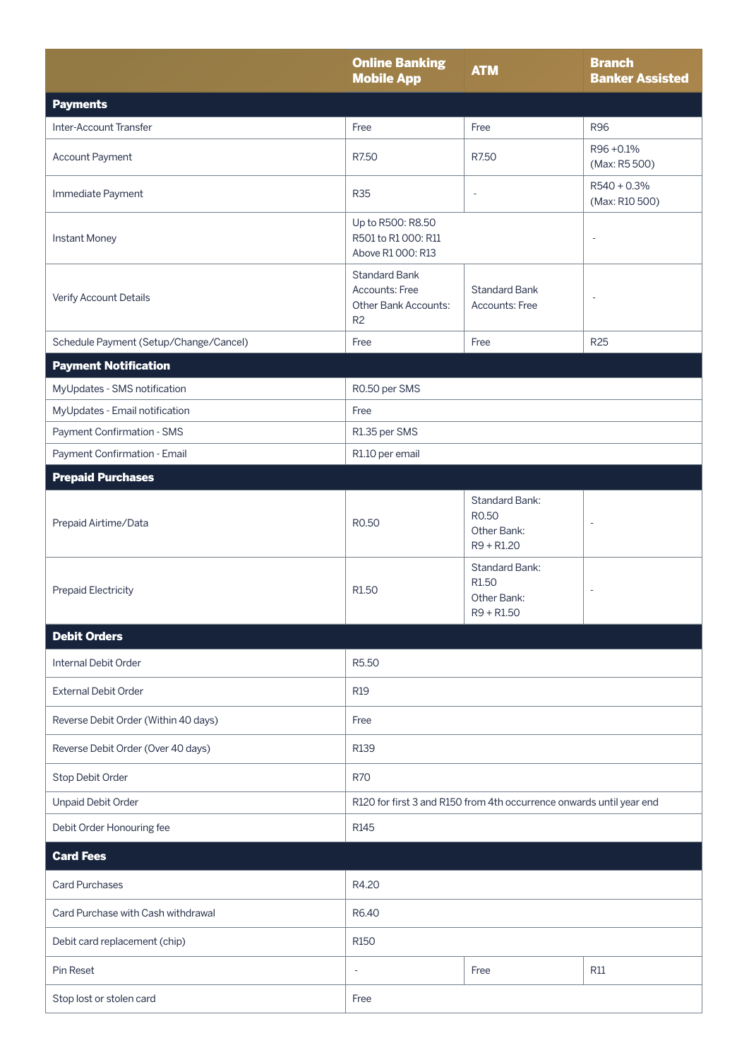|                                        | <b>Online Banking</b><br><b>Mobile App</b>                                       | <b>ATM</b>                                                                | <b>Branch</b><br><b>Banker Assisted</b> |
|----------------------------------------|----------------------------------------------------------------------------------|---------------------------------------------------------------------------|-----------------------------------------|
| <b>Payments</b>                        |                                                                                  |                                                                           |                                         |
| Inter-Account Transfer                 | Free                                                                             | Free                                                                      | <b>R96</b>                              |
| Account Payment                        | R7.50                                                                            | R7.50                                                                     | R96+0.1%<br>(Max: R5 500)               |
| Immediate Payment                      | <b>R35</b>                                                                       | $\overline{\phantom{a}}$                                                  | $R540 + 0.3%$<br>(Max: R10 500)         |
| <b>Instant Money</b>                   | Up to R500: R8.50<br>R501 to R1 000: R11<br>÷,<br>Above R1 000: R13              |                                                                           |                                         |
| Verify Account Details                 | <b>Standard Bank</b><br>Accounts: Free<br>Other Bank Accounts:<br>R <sub>2</sub> | <b>Standard Bank</b><br>Accounts: Free                                    | $\overline{\phantom{a}}$                |
| Schedule Payment (Setup/Change/Cancel) | Free                                                                             | Free                                                                      | <b>R25</b>                              |
| <b>Payment Notification</b>            |                                                                                  |                                                                           |                                         |
| MyUpdates - SMS notification           | R0.50 per SMS                                                                    |                                                                           |                                         |
| MyUpdates - Email notification         | Free                                                                             |                                                                           |                                         |
| Payment Confirmation - SMS             | R1.35 per SMS                                                                    |                                                                           |                                         |
| Payment Confirmation - Email           | R1.10 per email                                                                  |                                                                           |                                         |
| <b>Prepaid Purchases</b>               |                                                                                  |                                                                           |                                         |
| Prepaid Airtime/Data                   | R0.50                                                                            | <b>Standard Bank:</b><br>R0.50<br>Other Bank:<br>$R9 + R1.20$             | $\overline{\phantom{a}}$                |
| <b>Prepaid Electricity</b>             | R <sub>1.50</sub>                                                                | <b>Standard Bank:</b><br>R <sub>1.50</sub><br>Other Bank:<br>$R9 + R1.50$ | ÷,                                      |
| <b>Debit Orders</b>                    |                                                                                  |                                                                           |                                         |
| Internal Debit Order                   | R5.50                                                                            |                                                                           |                                         |
| <b>External Debit Order</b>            | <b>R19</b>                                                                       |                                                                           |                                         |
| Reverse Debit Order (Within 40 days)   | Free                                                                             |                                                                           |                                         |
| Reverse Debit Order (Over 40 days)     | R139                                                                             |                                                                           |                                         |
| Stop Debit Order                       | <b>R70</b>                                                                       |                                                                           |                                         |
| <b>Unpaid Debit Order</b>              | R120 for first 3 and R150 from 4th occurrence onwards until year end             |                                                                           |                                         |
| Debit Order Honouring fee              | R <sub>145</sub>                                                                 |                                                                           |                                         |
| <b>Card Fees</b>                       |                                                                                  |                                                                           |                                         |
| <b>Card Purchases</b>                  | R4.20                                                                            |                                                                           |                                         |
| Card Purchase with Cash withdrawal     | R6.40                                                                            |                                                                           |                                         |
| Debit card replacement (chip)          | R <sub>150</sub>                                                                 |                                                                           |                                         |
| Pin Reset                              |                                                                                  | Free                                                                      | <b>R11</b>                              |
| Stop lost or stolen card               | Free                                                                             |                                                                           |                                         |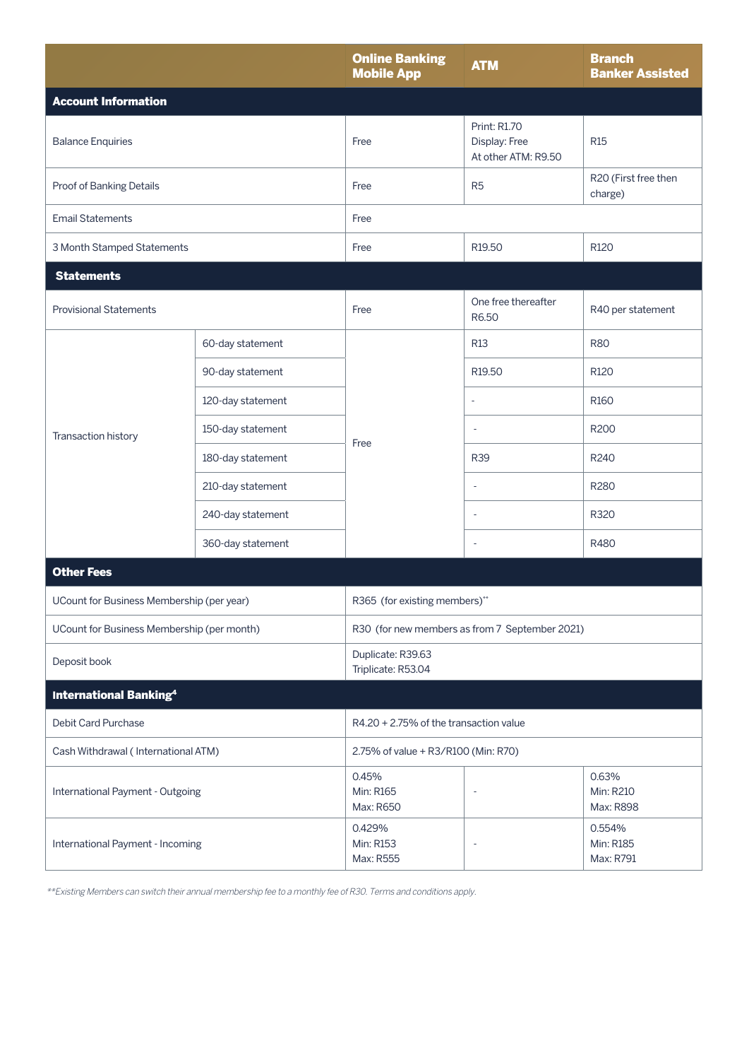|                                            |                   | <b>Online Banking</b><br><b>Mobile App</b>     | <b>ATM</b>                                                  | <b>Branch</b><br><b>Banker Assisted</b> |
|--------------------------------------------|-------------------|------------------------------------------------|-------------------------------------------------------------|-----------------------------------------|
| <b>Account Information</b>                 |                   |                                                |                                                             |                                         |
| <b>Balance Enquiries</b>                   |                   | Free                                           | <b>Print: R1.70</b><br>Display: Free<br>At other ATM: R9.50 | <b>R15</b>                              |
| Proof of Banking Details                   |                   | Free                                           | R <sub>5</sub>                                              | R20 (First free then<br>charge)         |
| <b>Email Statements</b>                    |                   | Free                                           |                                                             |                                         |
| 3 Month Stamped Statements                 |                   | Free                                           | R <sub>19.50</sub>                                          | R <sub>120</sub>                        |
| <b>Statements</b>                          |                   |                                                |                                                             |                                         |
| <b>Provisional Statements</b>              |                   | Free                                           | One free thereafter<br>R6.50                                | R40 per statement                       |
|                                            | 60-day statement  |                                                | <b>R13</b>                                                  | <b>R80</b>                              |
|                                            | 90-day statement  |                                                | R <sub>19.50</sub>                                          | R120                                    |
|                                            | 120-day statement |                                                | ÷                                                           | R <sub>160</sub>                        |
| Transaction history                        | 150-day statement | Free                                           | $\overline{\phantom{a}}$                                    | R200                                    |
|                                            | 180-day statement |                                                | <b>R39</b>                                                  | R240                                    |
|                                            | 210-day statement |                                                | $\overline{\phantom{a}}$                                    | R280                                    |
|                                            | 240-day statement |                                                | $\overline{\phantom{a}}$                                    | R320                                    |
|                                            | 360-day statement |                                                | $\overline{\phantom{a}}$                                    | R480                                    |
| <b>Other Fees</b>                          |                   |                                                |                                                             |                                         |
| UCount for Business Membership (per year)  |                   | R365 (for existing members)**                  |                                                             |                                         |
| UCount for Business Membership (per month) |                   | R30 (for new members as from 7 September 2021) |                                                             |                                         |
| Deposit book                               |                   | Duplicate: R39.63<br>Triplicate: R53.04        |                                                             |                                         |
| <b>International Banking4</b>              |                   |                                                |                                                             |                                         |
| Debit Card Purchase                        |                   | R4.20 + 2.75% of the transaction value         |                                                             |                                         |
| Cash Withdrawal (International ATM)        |                   | 2.75% of value + R3/R100 (Min: R70)            |                                                             |                                         |
| International Payment - Outgoing           |                   | 0.45%<br>Min: R165<br>Max: R650                |                                                             | 0.63%<br>Min: R210<br>Max: R898         |
| International Payment - Incoming           |                   | 0.429%<br>Min: R153<br>Max: R555               | ÷,                                                          | 0.554%<br>Min: R185<br>Max: R791        |

\*\*Existing Members can switch their annual membership fee to a monthly fee of R30. Terms and conditions apply.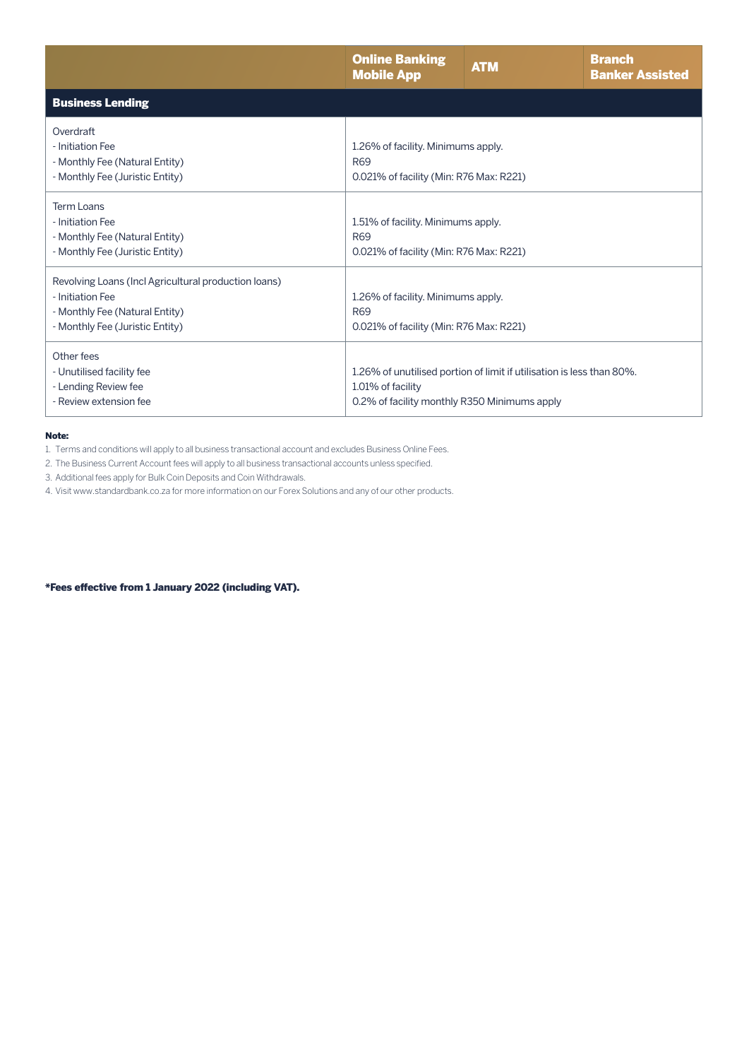|                                                                                                                                               | <b>Online Banking</b><br><b>Mobile App</b>                                                                                                 | <b>ATM</b> | <b>Branch</b><br><b>Banker Assisted</b> |
|-----------------------------------------------------------------------------------------------------------------------------------------------|--------------------------------------------------------------------------------------------------------------------------------------------|------------|-----------------------------------------|
| <b>Business Lending</b>                                                                                                                       |                                                                                                                                            |            |                                         |
| Overdraft<br>- Initiation Fee<br>- Monthly Fee (Natural Entity)<br>- Monthly Fee (Juristic Entity)                                            | 1.26% of facility. Minimums apply.<br>R <sub>69</sub><br>0.021% of facility (Min: R76 Max: R221)                                           |            |                                         |
| Term Loans<br>- Initiation Fee<br>- Monthly Fee (Natural Entity)<br>- Monthly Fee (Juristic Entity)                                           | 1.51% of facility. Minimums apply.<br><b>R69</b><br>0.021% of facility (Min: R76 Max: R221)                                                |            |                                         |
| Revolving Loans (Incl Agricultural production loans)<br>- Initiation Fee<br>- Monthly Fee (Natural Entity)<br>- Monthly Fee (Juristic Entity) | 1.26% of facility. Minimums apply.<br><b>R69</b><br>0.021% of facility (Min: R76 Max: R221)                                                |            |                                         |
| Other fees<br>- Unutilised facility fee<br>- Lending Review fee<br>- Review extension fee                                                     | 1.26% of unutilised portion of limit if utilisation is less than 80%.<br>1.01% of facility<br>0.2% of facility monthly R350 Minimums apply |            |                                         |

#### Note:

1. Terms and conditions will apply to all business transactional account and excludes Business Online Fees.

2. The Business Current Account fees will apply to all business transactional accounts unless specified.

3. Additional fees apply for Bulk Coin Deposits and Coin Withdrawals.

4. Visit www.standardbank.co.za for more information on our Forex Solutions and any of our other products.

\*Fees effective from 1 January 2022 (including VAT).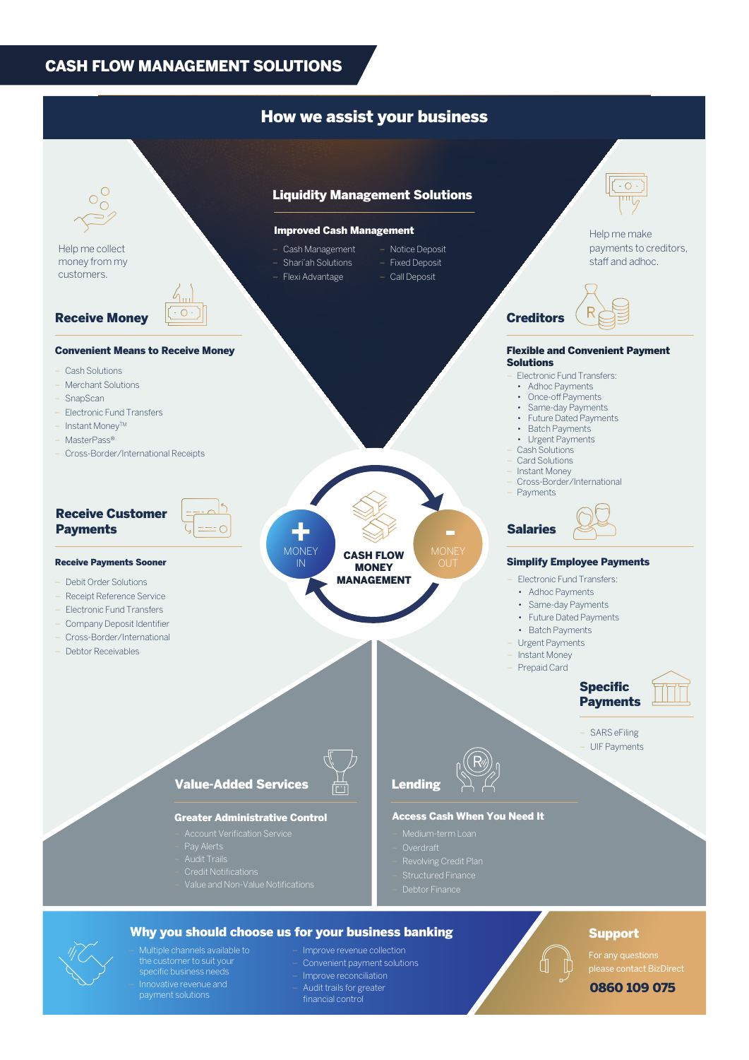#### CASH FLOW MANAGEMENT SOLUTIONS



- Innovative revenue and payment solutions
- Improve reconciliation
- Audit trails for greater
- 

#### 0860 109 075